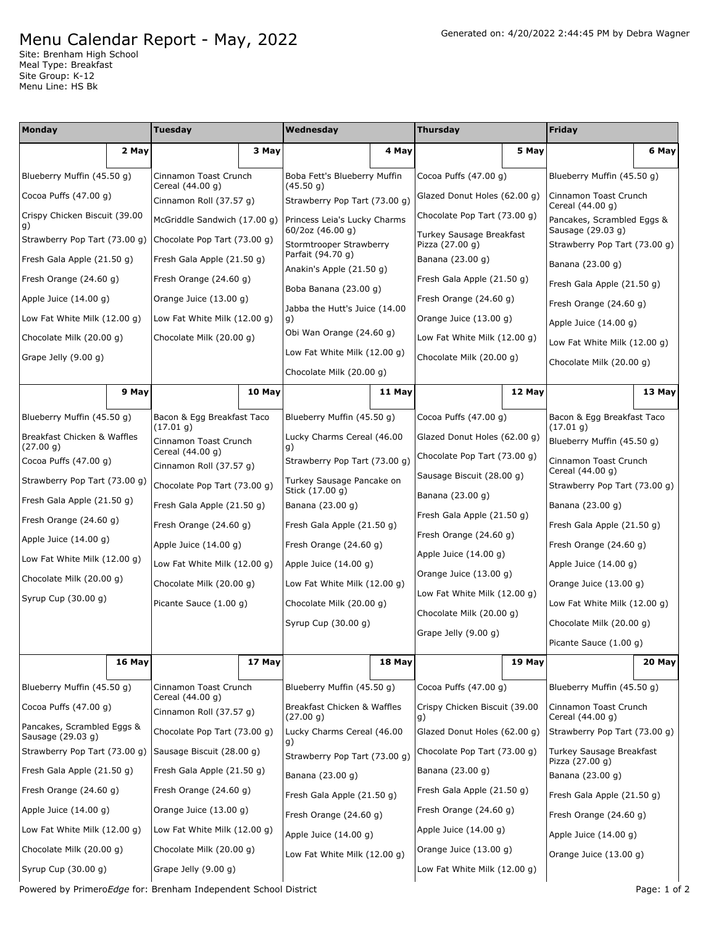## Menu Calendar Report - May, 2022

Site: Brenham High School Meal Type: Breakfast Site Group: K-12 Menu Line: HS Bk

| Monday                                          |        | <b>Tuesday</b>                              |        | Wednesday                                                |        | <b>Thursday</b>                                              |        | <b>Friday</b>                                   |        |
|-------------------------------------------------|--------|---------------------------------------------|--------|----------------------------------------------------------|--------|--------------------------------------------------------------|--------|-------------------------------------------------|--------|
|                                                 | 2 May  |                                             | 3 May  |                                                          | 4 May  |                                                              | 5 May  |                                                 | 6 May  |
| Blueberry Muffin (45.50 g)                      |        | Cinnamon Toast Crunch                       |        | Boba Fett's Blueberry Muffin<br>(45.50 g)                |        | Cocoa Puffs $(47.00 g)$                                      |        | Blueberry Muffin (45.50 g)                      |        |
| Cocoa Puffs $(47.00 g)$                         |        | Cereal (44.00 g)<br>Cinnamon Roll (37.57 g) |        | Strawberry Pop Tart (73.00 g)                            |        | Glazed Donut Holes (62.00 g)                                 |        | Cinnamon Toast Crunch<br>Cereal (44.00 g)       |        |
| Crispy Chicken Biscuit (39.00<br>g)             |        | McGriddle Sandwich (17.00 g)                |        | Princess Leia's Lucky Charms<br>60/2oz (46.00 g)         |        | Chocolate Pop Tart (73.00 g)                                 |        | Pancakes, Scrambled Eggs &<br>Sausage (29.03 g) |        |
| Strawberry Pop Tart (73.00 g)                   |        | Chocolate Pop Tart (73.00 g)                |        | Stormtrooper Strawberry                                  |        | Turkey Sausage Breakfast<br>Pizza (27.00 g)                  |        | Strawberry Pop Tart (73.00 g)                   |        |
| Fresh Gala Apple (21.50 g)                      |        | Fresh Gala Apple (21.50 g)                  |        | Parfait (94.70 g)<br>Anakin's Apple (21.50 g)            |        | Banana (23.00 g)                                             |        | Banana (23.00 g)                                |        |
| Fresh Orange (24.60 g)                          |        | Fresh Orange (24.60 g)                      |        | Boba Banana (23.00 g)                                    |        | Fresh Gala Apple (21.50 g)                                   |        | Fresh Gala Apple (21.50 g)                      |        |
| Apple Juice $(14.00 g)$                         |        | Orange Juice (13.00 g)                      |        | Jabba the Hutt's Juice (14.00                            |        | Fresh Orange (24.60 g)                                       |        | Fresh Orange (24.60 g)                          |        |
| Low Fat White Milk (12.00 g)                    |        | Low Fat White Milk (12.00 g)                |        | g)                                                       |        | Orange Juice (13.00 g)                                       |        | Apple Juice $(14.00 g)$                         |        |
| Chocolate Milk (20.00 g)                        |        | Chocolate Milk (20.00 g)                    |        | Obi Wan Orange (24.60 g)<br>Low Fat White Milk (12.00 g) |        | Low Fat White Milk (12.00 g)                                 |        | Low Fat White Milk (12.00 g)                    |        |
| Grape Jelly $(9.00 g)$                          |        |                                             |        | Chocolate Milk (20.00 g)                                 |        | Chocolate Milk (20.00 g)                                     |        | Chocolate Milk (20.00 g)                        |        |
|                                                 | 9 May  |                                             | 10 May |                                                          | 11 May |                                                              | 12 May |                                                 | 13 May |
|                                                 |        | Bacon & Egg Breakfast Taco                  |        | Blueberry Muffin (45.50 q)                               |        | Cocoa Puffs (47.00 g)                                        |        | Bacon & Egg Breakfast Taco                      |        |
| Blueberry Muffin (45.50 g)                      |        | (17.01 g)                                   |        | Lucky Charms Cereal (46.00                               |        |                                                              |        | (17.01 g)                                       |        |
| Breakfast Chicken & Waffles<br>(27.00 g)        |        | Cinnamon Toast Crunch<br>Cereal (44.00 g)   |        | g)                                                       |        | Glazed Donut Holes (62.00 g)<br>Chocolate Pop Tart (73.00 g) |        | Blueberry Muffin (45.50 g)                      |        |
| Cocoa Puffs (47.00 g)                           |        | Cinnamon Roll (37.57 g)                     |        | Strawberry Pop Tart (73.00 g)                            |        | Sausage Biscuit (28.00 g)                                    |        | Cinnamon Toast Crunch<br>Cereal (44.00 g)       |        |
| Strawberry Pop Tart (73.00 g)                   |        | Chocolate Pop Tart (73.00 g)                |        | Turkey Sausage Pancake on<br>Stick (17.00 g)             |        | Banana (23.00 g)                                             |        | Strawberry Pop Tart (73.00 g)                   |        |
| Fresh Gala Apple (21.50 g)                      |        | Fresh Gala Apple (21.50 g)                  |        | Banana (23.00 g)                                         |        | Fresh Gala Apple (21.50 g)                                   |        | Banana (23.00 g)                                |        |
| Fresh Orange (24.60 g)                          |        | Fresh Orange (24.60 g)                      |        | Fresh Gala Apple (21.50 g)                               |        | Fresh Orange (24.60 g)                                       |        | Fresh Gala Apple (21.50 g)                      |        |
| Apple Juice $(14.00 g)$                         |        | Apple Juice (14.00 g)                       |        | Fresh Orange (24.60 g)                                   |        | Apple Juice (14.00 g)                                        |        | Fresh Orange $(24.60 g)$                        |        |
| Low Fat White Milk (12.00 g)                    |        | Low Fat White Milk (12.00 g)                |        | Apple Juice (14.00 g)                                    |        | Orange Juice (13.00 g)                                       |        | Apple Juice $(14.00 g)$                         |        |
| Chocolate Milk (20.00 g)                        |        | Chocolate Milk (20.00 g)                    |        | Low Fat White Milk (12.00 g)                             |        | Low Fat White Milk (12.00 g)                                 |        | Orange Juice (13.00 g)                          |        |
| Syrup Cup (30.00 g)                             |        | Picante Sauce (1.00 g)                      |        | Chocolate Milk (20.00 g)                                 |        | Chocolate Milk (20.00 g)                                     |        | Low Fat White Milk (12.00 g)                    |        |
|                                                 |        |                                             |        | Syrup Cup (30.00 g)                                      |        | Grape Jelly (9.00 g)                                         |        | Chocolate Milk (20.00 g)                        |        |
|                                                 | 16 May |                                             | 17 May |                                                          | 18 May |                                                              | 19 May | Picante Sauce (1.00 g)                          | 20 May |
|                                                 |        |                                             |        |                                                          |        |                                                              |        |                                                 |        |
| Blueberry Muffin (45.50 g)                      |        | Cinnamon Toast Crunch<br>Cereal (44.00 g)   |        | Blueberry Muffin (45.50 q)                               |        | Cocoa Puffs $(47.00 g)$                                      |        | Blueberry Muffin (45.50 g)                      |        |
| Cocoa Puffs $(47.00 g)$                         |        | Cinnamon Roll (37.57 q)                     |        | Breakfast Chicken & Waffles<br>(27.00 g)                 |        | Crispy Chicken Biscuit (39.00<br>g)                          |        | Cinnamon Toast Crunch<br>Cereal (44.00 g)       |        |
| Pancakes, Scrambled Eggs &<br>Sausage (29.03 g) |        | Chocolate Pop Tart (73.00 g)                |        | Lucky Charms Cereal (46.00<br>g)                         |        | Glazed Donut Holes (62.00 g)                                 |        | Strawberry Pop Tart (73.00 g)                   |        |
| Strawberry Pop Tart (73.00 q)                   |        | Sausage Biscuit (28.00 g)                   |        | Strawberry Pop Tart (73.00 g)                            |        | Chocolate Pop Tart (73.00 g)                                 |        | Turkey Sausage Breakfast<br>Pizza (27.00 g)     |        |
| Fresh Gala Apple (21.50 g)                      |        | Fresh Gala Apple (21.50 g)                  |        | Banana (23.00 g)                                         |        | Banana (23.00 g)                                             |        | Banana (23.00 g)                                |        |
| Fresh Orange (24.60 g)                          |        | Fresh Orange (24.60 g)                      |        | Fresh Gala Apple (21.50 g)                               |        | Fresh Gala Apple (21.50 g)                                   |        | Fresh Gala Apple (21.50 g)                      |        |
| Apple Juice $(14.00 g)$                         |        | Orange Juice $(13.00 g)$                    |        | Fresh Orange (24.60 g)                                   |        | Fresh Orange (24.60 g)                                       |        | Fresh Orange (24.60 g)                          |        |
| Low Fat White Milk (12.00 g)                    |        | Low Fat White Milk (12.00 g)                |        | Apple Juice $(14.00 g)$                                  |        | Apple Juice (14.00 g)                                        |        | Apple Juice $(14.00 g)$                         |        |
| Chocolate Milk (20.00 g)                        |        | Chocolate Milk (20.00 g)                    |        | Low Fat White Milk (12.00 g)                             |        | Orange Juice (13.00 g)                                       |        | Orange Juice (13.00 g)                          |        |
| Syrup Cup (30.00 g)                             |        | Grape Jelly $(9.00 g)$                      |        |                                                          |        | Low Fat White Milk (12.00 g)                                 |        |                                                 |        |

Powered by PrimeroEdge for: Brenham Independent School District **Page: 1 of 2** Page: 1 of 2